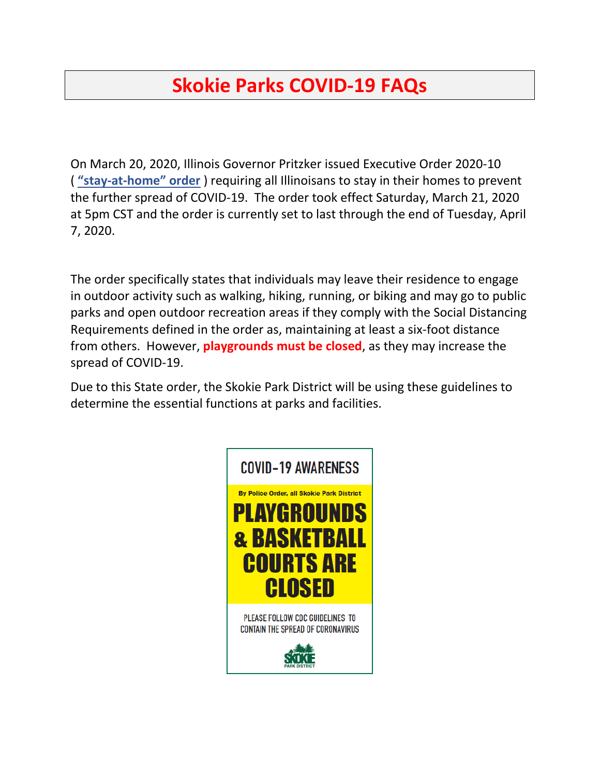# **Skokie Parks COVID-19 FAQs**

On March 20, 2020, Illinois Governor Pritzker issued Executive Order 2020-10 ( **["stay-at-home" order](https://cdn.ymaws.com/www.ilparks.org/resource/resmgr/coronavirus/executive_order_2020-10.pdf)** ) requiring all Illinoisans to stay in their homes to prevent the further spread of COVID-19. The order took effect Saturday, March 21, 2020 at 5pm CST and the order is currently set to last through the end of Tuesday, April 7, 2020.

The order specifically states that individuals may leave their residence to engage in outdoor activity such as walking, hiking, running, or biking and may go to public parks and open outdoor recreation areas if they comply with the Social Distancing Requirements defined in the order as, maintaining at least a six-foot distance from others. However, **playgrounds must be closed**, as they may increase the spread of COVID-19.

Due to this State order, the Skokie Park District will be using these guidelines to determine the essential functions at parks and facilities.

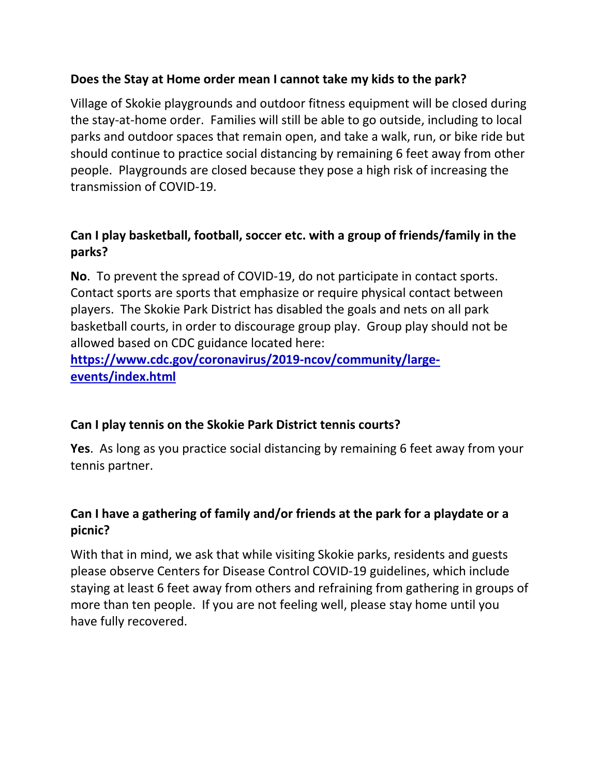### **Does the Stay at Home order mean I cannot take my kids to the park?**

Village of Skokie playgrounds and outdoor fitness equipment will be closed during the stay-at-home order. Families will still be able to go outside, including to local parks and outdoor spaces that remain open, and take a walk, run, or bike ride but should continue to practice social distancing by remaining 6 feet away from other people.Playgrounds are closed because they pose a high risk of increasing the transmission of COVID-19.

## **Can I play basketball, football, soccer etc. with a group of friends/family in the parks?**

**No**. To prevent the spread of COVID-19, do not participate in contact sports. Contact sports are sports that emphasize or require physical contact between players. The Skokie Park District has disabled the goals and nets on all park basketball courts, in order to discourage group play. Group play should not be allowed based on CDC guidance located here:

**[https://www.cdc.gov/coronavirus/2019-ncov/community/large](https://www.cdc.gov/coronavirus/2019-ncov/community/large-events/index.html)[events/index.html](https://www.cdc.gov/coronavirus/2019-ncov/community/large-events/index.html)** 

#### **Can I play tennis on the Skokie Park District tennis courts?**

**Yes**. As long as you practice social distancing by remaining 6 feet away from your tennis partner.

## **Can I have a gathering of family and/or friends at the park for a playdate or a picnic?**

With that in mind, we ask that while visiting Skokie parks, residents and guests please observe Centers for Disease Control COVID-19 guidelines, which include staying at least 6 feet away from others and refraining from gathering in groups of more than ten people. If you are not feeling well, please stay home until you have fully recovered.